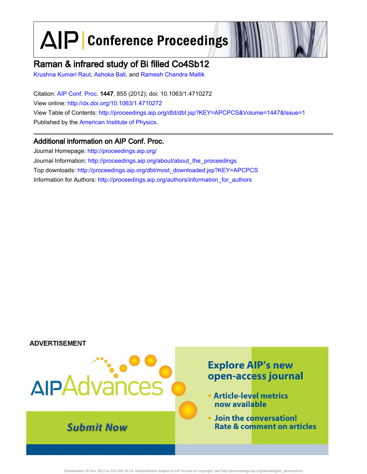# $\Delta$  $\left| \mathsf{P} \right|$  Conference Proceedings

# Raman & infrared study of Bi filled Co4Sb12

[Krushna Kumari Raut,](http://scitation.aip.org/vsearch/servlet/VerityServlet?KEY=ALL&uSeDeFaUlTkEy=TrUe&possible1=Krushna Kumari Raut&possible1zone=author&maxdisp=25&smode=strresults&aqs=true&ver=pdfcov) [Ashoka Bali,](http://scitation.aip.org/vsearch/servlet/VerityServlet?KEY=ALL&uSeDeFaUlTkEy=TrUe&possible1=Ashoka Bali&possible1zone=author&maxdisp=25&smode=strresults&aqs=true&ver=pdfcov) and [Ramesh Chandra Mallik](http://scitation.aip.org/vsearch/servlet/VerityServlet?KEY=ALL&uSeDeFaUlTkEy=TrUe&possible1=Ramesh Chandra Mallik&possible1zone=author&maxdisp=25&smode=strresults&aqs=true&ver=pdfcov)

Citation: [AIP Conf. Proc.](http://proceedings.aip.org/?ver=pdfcov) 1447, 855 (2012); doi: 10.1063/1.4710272 View online: [http://dx.doi.org/10.1063/1.4710272](http://link.aip.org/link/doi/10.1063/1.4710272?ver=pdfcov) View Table of Contents: [http://proceedings.aip.org/dbt/dbt.jsp?KEY=APCPCS&Volume=1447&Issue=1](http://proceedings.aip.org/dbt/dbt.jsp?KEY=APCPCS&Volume=1447&Issue=1&ver=pdfcov) Published by the [American Institute of Physics.](http://www.aip.org/?ver=pdfcov)

## Additional information on AIP Conf. Proc.

Journal Homepage: [http://proceedings.aip.org/](http://proceedings.aip.org/?ver=pdfcov) Journal Information: [http://proceedings.aip.org/about/about\\_the\\_proceedings](http://proceedings.aip.org/about/about_the_proceedings?ver=pdfcov) Top downloads: [http://proceedings.aip.org/dbt/most\\_downloaded.jsp?KEY=APCPCS](http://proceedings.aip.org/dbt/most_downloaded.jsp?KEY=APCPCS&ver=pdfcov) Information for Authors: [http://proceedings.aip.org/authors/information\\_for\\_authors](http://proceedings.aip.org/authors/information_for_authors?ver=pdfcov)

### **ADVERTISEMENT**



Downloaded 26 Nov 2012 to 203.200.35.14. Redistribution subject to AIP license or copyright; see http://proceedings.aip.org/about/rights\_permissions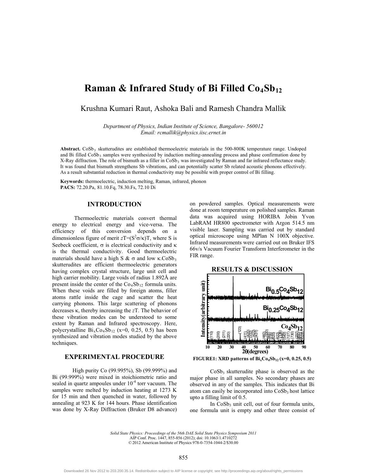## **Raman & Infrared Study of Bi Filled Co<sub>4</sub>Sb<sub>12</sub>**

Krushna Kumari Raut, Ashoka Bali and Ramesh Chandra Mallik

*Department of Physics, Indian Institute of Science, Bangalore- 560012 Email: rcmallik@physics.iisc.ernet.in*

Abstract. CoSb<sub>3</sub> skutterudites are established thermoelectric materials in the 500-800K temperature range. Undoped and Bi filled  $\cos b_3$  samples were synthesized by induction melting-annealing process and phase confirmation done by  $X$ -Ray diffraction. The role of bismuth as a filler in  $CoSb<sub>3</sub>$  was investigated by Raman and far infrared reflectance study. It was found that bismuth strengthens Sb vibrations, and can potentially scatter Sb related acoustic phonons effectively. As a result substantial reduction in thermal conductivity may be possible with proper control of Bi filling.

**Keywords:** thermoelectric, induction melting, Raman, infrared, phonon **PACS:** 72.20.Pa, 81.10.Fq, 78.30.Fs, 72.10 Di

#### **INTRODUCTION**

Thermoelectric materials convert thermal energy to electrical energy and vice-versa. The efficiency of this conversion depends on a dimensionless figure of merit  $zT = (S^2 \sigma/\kappa)T$ , where S is Seebeck coefficient,  $\sigma$  is electrical conductivity and  $\kappa$ is the thermal conductivity. Good thermoelectric materials should have a high S  $\& \sigma$  and low  $\kappa$ .CoSb<sub>3</sub> skutterudites are efficient thermoelectric generators having complex crystal structure, large unit cell and high carrier mobility. Large voids of radius 1.892Å are present inside the center of the  $Co<sub>4</sub>Sb<sub>12</sub>$  formula units. When these voids are filled by foreign atoms, filler atoms rattle inside the cage and scatter the heat carrying phonons. This large scattering of phonons decreases  $\kappa$ , thereby increasing the *z*T. The behavior of these vibration modes can be understood to some extent by Raman and Infrared spectroscopy. Here, polycrystalline  $Bi_xCo_4Sb_{12}$  (x=0, 0.25, 0.5) has been synthesized and vibration modes studied by the above techniques.

#### **EXPERIMENTAL PROCEDURE**

High purity Co (99.995%), Sb (99.999%) and Bi (99.999%) were mixed in stoichiometric ratio and sealed in quartz ampoules under  $10^{-4}$  torr vacuum. The samples were melted by induction heating at 1273 K for 15 min and then quenched in water, followed by annealing at 923 K for 144 hours. Phase identification was done by X-Ray Diffraction (Bruker D8 advance)

on powdered samples. Optical measurements were done at room temperature on polished samples. Raman data was acquired using HORIBA Jobin Yvon LabRAM HR800 spectrometer with Argon 514.5 nm visible laser. Sampling was carried out by standard optical microscope using MPlan N 100X objective. Infrared measurements were carried out on Bruker IFS 66v/s Vacuum Fourier Transform Interferometer in the FIR range.



**FIGURE1: XRD patterns of Bi<sub>x</sub>Co<sub>4</sub>Sb<sub>12</sub> (x=0, 0.25, 0.5)** 

CoSb<sub>3</sub> skutterudite phase is observed as the major phase in all samples. No secondary phases are observed in any of the samples. This indicates that Bi atom can easily be incorporated into  $\cos b_3$  host lattice upto a filling limit of 0.5.

In  $CoSb<sub>3</sub>$  unit cell, out of four formula units, one formula unit is empty and other three consist of

*Solid State Physics: Proceedings of the 56th DAE Solid State Physics Symposium 2011* AIP Conf. Proc. 1447, 855-856 (2012); doi: 10.1063/1.4710272 © 2012 American Institute of Physics 978-0-7354-1044-2/\$30.00